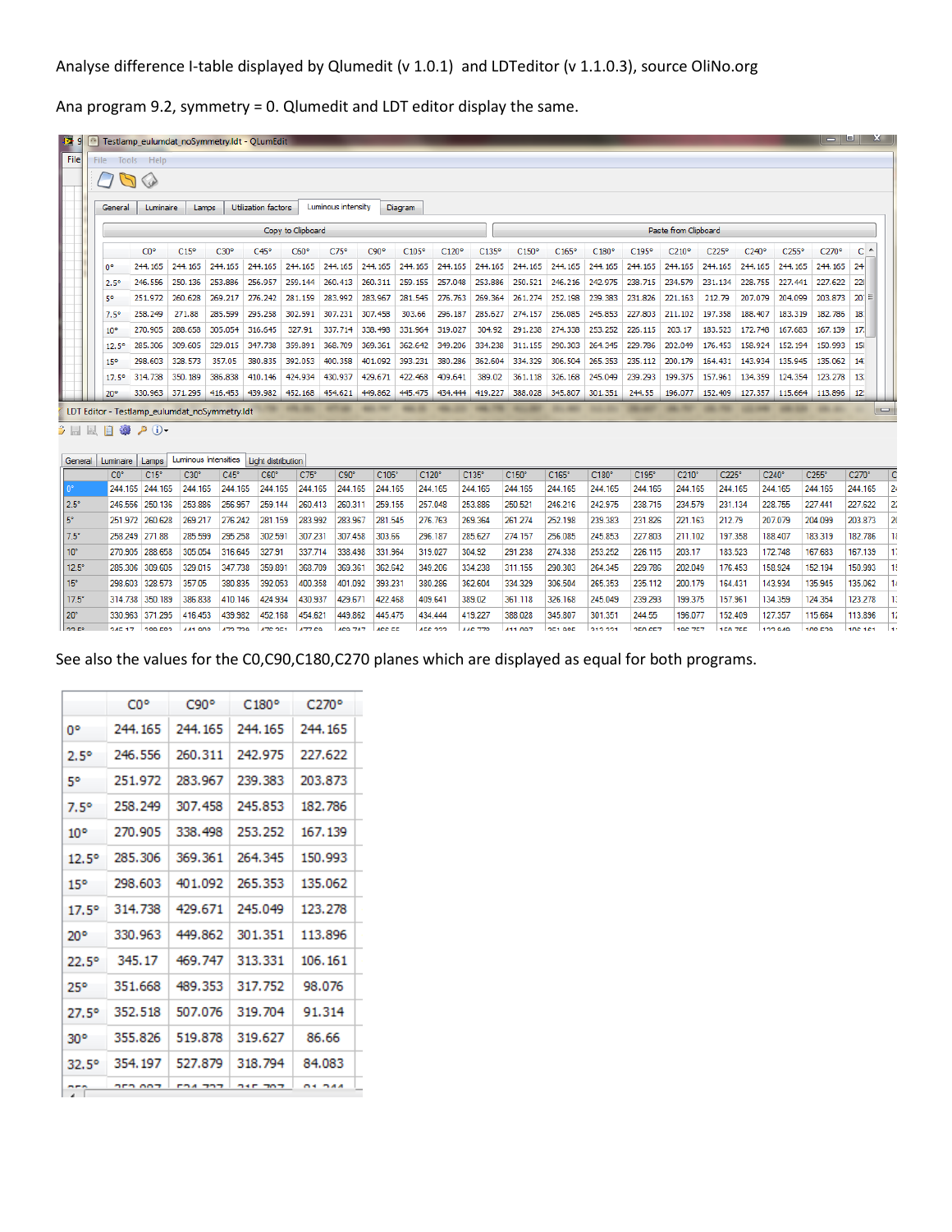Ana program 9.2, symmetry = 0. Qlumedit and LDT editor display the same.

|                 | File Tools Help |                 |               |                     |                   |                    |         |                |         |         |         |         |                   |                    |                      |         |          |                    |          |
|-----------------|-----------------|-----------------|---------------|---------------------|-------------------|--------------------|---------|----------------|---------|---------|---------|---------|-------------------|--------------------|----------------------|---------|----------|--------------------|----------|
|                 |                 |                 |               |                     |                   |                    |         |                |         |         |         |         |                   |                    |                      |         |          |                    |          |
| General         | Luminaire       |                 | Lamps         | Utilization factors |                   | Luminous intensity |         | <b>Diagram</b> |         |         |         |         |                   |                    |                      |         |          |                    |          |
|                 |                 |                 |               |                     | Copy to Clipboard |                    |         |                |         |         |         |         |                   |                    | Paste from Clipboard |         |          |                    |          |
|                 | CO <sup>o</sup> | $C15^{\circ}$   | $C30^{\circ}$ | $C45^{\circ}$       | C60°              | $C75^{\circ}$      | C90°    | $C105^{\circ}$ | C120°   | C135°   | C150°   | C165°   | C180°             | C <sub>195</sub> ° | C210°                | C225°   | C240°    | C <sub>255</sub> ° | C270°    |
| 0°              | 244.165         | 244.165         | 244.165       | 244.165             | 244.165           | 244.165            | 244.165 | 244.165        | 244.165 | 244.165 | 244.165 |         | 244, 165 244, 165 | 244.165            | 244.165              | 244.165 | 244, 165 | 244, 165           | 244, 165 |
| $2.5^{\circ}$   | 246.556         | 250.136         | 253.886       | 256.957             | 259.144           | 260.413            | 260.311 | 259.155        | 257.048 | 253.886 | 250.521 | 246.216 | 242.975           | 238.715            | 234.579              | 231.134 | 228.755  | 227.441            | 227.622  |
| 5°              | 251.972         | 260,628         | 269.217       | 276.242             | 281.159           | 283.992            | 283.967 | 281.545        | 276.763 | 269.364 | 261.274 | 252.198 | 239.383           | 231.826            | 221.163              | 212.79  | 207.079  | 204.099            | 203.873  |
| 7.5°            | 258.249         | 271.88          | 285.599       | 295.258             | 302.591           | 307.231            | 307.458 | 303.66         | 296.187 | 285.627 | 274.157 |         | 256.085 245.853   | 227,803            | 211.102              | 197.358 | 188,407  | 183.319            | 182.786  |
| 10 <sup>o</sup> | 270.905         | 288.658         | 305.054       | 316.645             | 327.91            | 337.714            | 338,498 | 331.964        | 319.027 | 304.92  | 291.238 | 274.338 | 253.252           | 226.115            | 203.17               | 183.523 | 172.748  | 167.683            | 167, 139 |
| $12.5^{\circ}$  | 285.306         | 309.605         | 329.015       | 347.738             | 359.891           | 368.709            | 369.361 | 362.642        | 349.206 | 334.238 | 311.155 | 290.303 | 264.345           | 229.786            | 202.049              | 176.453 | 158.924  | 152.194            | 150.993  |
| 15 <sup>o</sup> | 298,603         | 328,573         | 357.05        | 380.835             | 392.053           | 400.358            | 401.092 | 393.231        | 380.286 | 362.604 | 334.329 | 306.504 | 265.353           | 235.112            | 200.179              | 164.431 | 143,934  | 135.945            | 135,062  |
| $17.5^{\circ}$  | 314.738         | 350, 189        | 386,838       | 410.146             | 424.934           | 430.937            | 429.671 | 422.468        | 409.641 | 389.02  | 361.118 | 326.168 | 245.049           | 239.293            | 199.375              | 157.961 | 134.359  | 124,354            | 123, 278 |
| $20^{\circ}$    | 330.963         | 371.295 416.453 |               | 439.982             | 452.168           | 454.621            | 449.862 | 445.475        | 434.444 | 419.227 | 388.028 | 345.807 | 301.351           | 244.55             | 196.077              | 152.409 | 127.357  | 115.664            | 113.896  |

General Luminaire Lamps Luminous Intensities Light distribution

|              | C <sub>0</sub> <sup>°</sup> | $C15^\circ$           | $C30^{\circ}$  | $C45^\circ$ | C60 <sub>o</sub> | $C75^\circ$ | $C90^\circ$ | C105°   | $C120^\circ$ | C135°          | $C150^\circ$   | $C165^\circ$   | C180°   | C195°          | C210°          | C225°          | $C240^\circ$ | $C255^\circ$ | $C270^\circ$ |                |
|--------------|-----------------------------|-----------------------|----------------|-------------|------------------|-------------|-------------|---------|--------------|----------------|----------------|----------------|---------|----------------|----------------|----------------|--------------|--------------|--------------|----------------|
|              |                             | 244.165 244.165       | 244.165        | 244.165     | 244.165          | 244.165     | 244.165     | 244.165 | 244.165      | 244.165        | 244.165        | 244.165        | 244.165 | 244.165        | 244.165        | 244.165        | 244.165      | 244.165      | 244.165      | 124            |
| $2.5^\circ$  |                             | 246.556 250.136       | 253.886        | 256,957     | 259.144          | 260.413     | 260.311     | 259.155 | 257.048      | 253.886        | 250,521        | 246.216        | 242.975 | 238.715        | 234.579        | 231.134        | 228.755      | 227.441      | 227.622      |                |
| $5^\circ$    |                             | 251.972 260.628       | 269.217        | 276.242     | 281.159          | 283.992     | 283.967     | 281.545 | 276.763      | 269.364        | 261.274        | 252.198        | 239.383 | 231.826        | 221.163        | 212.79         | 207.079      | 204.099      | 203.873      | $\overline{2}$ |
| $7.5^\circ$  | 258.249 271.88              |                       | 285,599        | 295.258     | 302.591          | 307.231     | 307.458     | 303.66  | 296.187      | 285.627        | 274.157        | 256.085        | 245,853 | 227.803        | 211.102        | 197.358        | 188.407      | 183.319      | 182.786      |                |
| $10^{\circ}$ |                             | 270.905 288.658       | 305.054        | 316,645     | 327.91           | 337.714     | 338,498     | 331.964 | 319.027      | 304.92         | 291.238        | 274.338        | 253.252 | 226.115        | 203.17         | 183.523        | 172.748      | 167.683      | 167.139      |                |
| $12.5^\circ$ | 285.306 309.605             |                       | 329.015        | 347.738     | 359.891          | 368,709     | 369.361     | 362.642 | 349,206      | 334.238        | 311.155        | 290.303        | 264.345 | 229.786        | 202.049        | 176.453        | 158.924      | 152.194      | 150.993      |                |
| $15^\circ$   |                             | 298.603 328.573       | 357.05         | 380.835     | 392.053          | 400.358     | 401.092     | 393.231 | 380.286      | 362.604        | 334.329        | 306,504        | 265,353 | 235.112        | 200.179        | 164.431        | 143.934      | 135.945      | 135.062      |                |
| $17.5^\circ$ |                             | 314.738 350.189       | 386,838        | 410.146     | 424.934          | 430.937     | 429.671     | 422,468 | 409.641      | 389.02         | 361.118        | 326.168        | 245.049 | 239.293        | 199.375        | 157.961        | 134.359      | 124.354      | 123.278      |                |
| $20^\circ$   |                             | 330.963 371.295       | 416.453        | 439.982     | 452.168          | 454.621     | 449.862     | 445.475 | 434,444      | 419.227        | 388,028        | 345.807        | 301.351 | 244.55         | 196.077        | 152.409        | 127.357      | 115.664      | 113,896      |                |
| linnier-     |                             | <b>245.17 200.502</b> | <b>AA1 GAO</b> | A79 790     | $ATC$ $251$      | 477 CO      | $ACQ$ 747   | ACC EE  | AEC 222      | <b>AAC 770</b> | <b>A11 007</b> | <b>DE1 00E</b> | 010-001 | <b>DEA CET</b> | <b>100.757</b> | <b>150 755</b> | 122.949      | 100.500      | 100.101      |                |

See also the values for the C0,C90,C180,C270 planes which are displayed as equal for both programs.

|                 | CO®     | C90°           | C180°          | C270°         |
|-----------------|---------|----------------|----------------|---------------|
| O۰              | 244.165 | 244.165        | 244.165        | 244.165       |
| $2.5^{\circ}$   | 246.556 | 260.311        | 242.975        | 227.622       |
| 50              | 251.972 | 283.967        | 239.383        | 203.873       |
| 7.5°            | 258.249 | 307.458        | 245.853        | 182.786       |
| 10 <sup>o</sup> | 270.905 | 338.498        | 253.252        | 167.139       |
| $12.5^{\circ}$  | 285.306 | 369.361        | 264.345        | 150.993       |
| 15°             | 298.603 | 401.092        | 265.353        | 135.062       |
| 17.5°           | 314.738 | 429.671        | 245.049        | 123.278       |
| 20°             | 330.963 | 449.862        | 301.351        | 113.896       |
| 22.5°           | 345.17  | 469.747        | 313.331        | 106.161       |
| 25°             | 351.668 | 489.353        | 317.752        | 98.076        |
| 27.5°           | 352.518 | 507.076        | 319.704        | 91.314        |
| 30°             | 355.826 | 519.878        | 319.627        | 86.66         |
| 32.5°           | 354.197 | 527.879        | 318,794        | 84.083        |
|                 | orn and | <b>FOA DOT</b> | <b>DAP DOD</b> | <b>DE DAA</b> |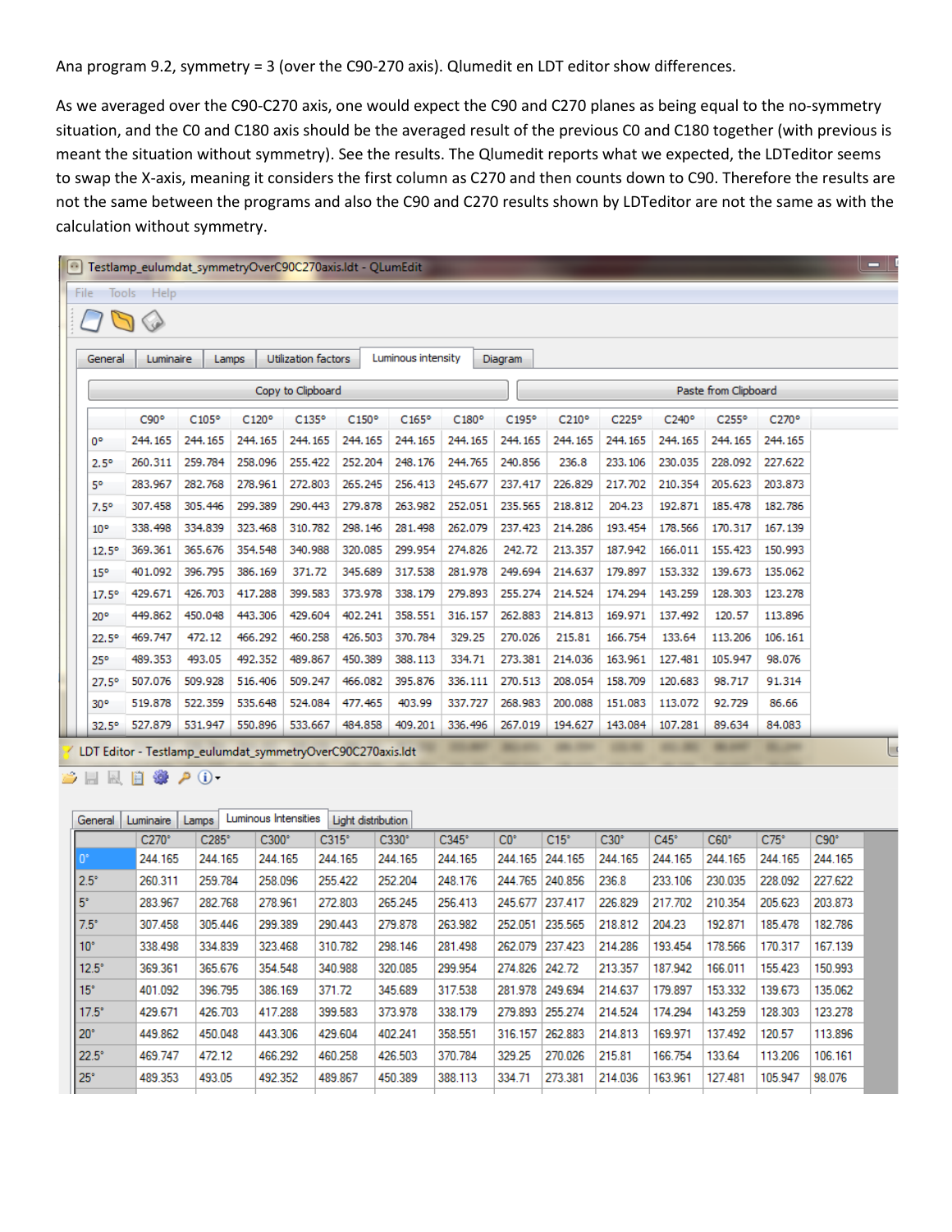Ana program 9.2, symmetry = 3 (over the C90-270 axis). Qlumedit en LDT editor show differences.

As we averaged over the C90-C270 axis, one would expect the C90 and C270 planes as being equal to the no-symmetry situation, and the C0 and C180 axis should be the averaged result of the previous C0 and C180 together (with previous is meant the situation without symmetry). See the results. The Qlumedit reports what we expected, the LDTeditor seems to swap the X-axis, meaning it considers the first column as C270 and then counts down to C90. Therefore the results are not the same between the programs and also the C90 and C270 results shown by LDTeditor are not the same as with the calculation without symmetry.

| $\circ$                                   |                 |            |                |          | Testlamp eulumdat symmetryOverC90C270axis.Idt - OLumEdit   |         |                    |          |         |          |          |          |          |          | $\blacksquare$ |
|-------------------------------------------|-----------------|------------|----------------|----------|------------------------------------------------------------|---------|--------------------|----------|---------|----------|----------|----------|----------|----------|----------------|
| File                                      |                 | Tools Help |                |          |                                                            |         |                    |          |         |          |          |          |          |          |                |
| ♦                                         |                 |            |                |          |                                                            |         |                    |          |         |          |          |          |          |          |                |
|                                           | General         | Luminaire  | Lamps          |          | Utilization factors                                        |         | Luminous intensity |          | Diagram |          |          |          |          |          |                |
| Paste from Clipboard<br>Copy to Clipboard |                 |            |                |          |                                                            |         |                    |          |         |          |          |          |          |          |                |
|                                           |                 | C90°       | $C105^{\circ}$ | C120°    | C135°                                                      | C150°   | C165°              | C180°    | C195°   | C210°    | C225°    | C240°    | C255°    | C270°    |                |
| 0°                                        |                 | 244, 165   | 244, 165       | 244.165  | 244, 165                                                   | 244.165 | 244, 165           | 244, 165 | 244.165 | 244, 165 | 244, 165 | 244, 165 | 244, 165 | 244.165  |                |
|                                           | $2.5^\circ$     | 260.311    | 259.784        | 258.096  | 255.422                                                    | 252.204 | 248.176            | 244.765  | 240.856 | 236.8    | 233.106  | 230.035  | 228.092  | 227.622  |                |
| 5°                                        |                 | 283,967    | 282.768        | 278.961  | 272,803                                                    | 265.245 | 256,413            | 245.677  | 237.417 | 226,829  | 217.702  | 210.354  | 205.623  | 203.873  |                |
|                                           | $7.5^{\circ}$   | 307.458    | 305.446        | 299.389  | 290.443                                                    | 279.878 | 263,982            | 252.051  | 235.565 | 218,812  | 204.23   | 192.871  | 185.478  | 182.786  |                |
|                                           | 10 <sup>o</sup> | 338,498    | 334.839        | 323, 468 | 310.782                                                    | 298.146 | 281.498            | 262.079  | 237.423 | 214,286  | 193.454  | 178.566  | 170.317  | 167, 139 |                |
|                                           | $12.5^{\circ}$  | 369.361    | 365,676        | 354.548  | 340.988                                                    | 320.085 | 299.954            | 274.826  | 242.72  | 213.357  | 187.942  | 166.011  | 155.423  | 150.993  |                |
|                                           | 15 <sup>o</sup> | 401.092    | 396.795        | 386, 169 | 371.72                                                     | 345.689 | 317.538            | 281.978  | 249.694 | 214.637  | 179.897  | 153,332  | 139.673  | 135.062  |                |
|                                           | $17.5^{\circ}$  | 429.671    | 426,703        | 417.288  | 399.583                                                    | 373.978 | 338.179            | 279.893  | 255.274 | 214.524  | 174.294  | 143.259  | 128,303  | 123,278  |                |
|                                           | $20^{\circ}$    | 449.862    | 450.048        | 443,306  | 429,604                                                    | 402.241 | 358.551            | 316, 157 | 262.883 | 214,813  | 169.971  | 137.492  | 120.57   | 113,896  |                |
|                                           | $22.5^{\circ}$  | 469.747    | 472.12         | 466.292  | 460.258                                                    | 426.503 | 370.784            | 329.25   | 270.026 | 215.81   | 166.754  | 133.64   | 113,206  | 106.161  |                |
|                                           | $25^{\circ}$    | 489.353    | 493.05         | 492.352  | 489.867                                                    | 450.389 | 388.113            | 334.71   | 273.381 | 214.036  | 163.961  | 127.481  | 105.947  | 98,076   |                |
|                                           | $27.5^{\circ}$  | 507.076    | 509.928        | 516,406  | 509.247                                                    | 466.082 | 395.876            | 336.111  | 270.513 | 208.054  | 158.709  | 120.683  | 98.717   | 91.314   |                |
|                                           | $30^{\circ}$    | 519.878    | 522.359        | 535.648  | 524.084                                                    | 477.465 | 403.99             | 337.727  | 268.983 | 200.088  | 151.083  | 113.072  | 92.729   | 86.66    |                |
|                                           | $32.5^\circ$    | 527.879    | 531.947        | 550.896  | 533.667                                                    | 484.858 | 409.201            | 336, 496 | 267.019 | 194.627  | 143,084  | 107.281  | 89.634   | 84.083   |                |
|                                           |                 |            |                |          | LDT Editor - Testlamp eulumdat symmetryOverC90C270axis.ldt |         |                    |          |         |          |          |          |          |          |                |

**BEEB & PO** 

| General         | Luminaire    | Lamps        | Luminous Intensities |              | Light distribution |              |                 |             |             |             |             |             |             |
|-----------------|--------------|--------------|----------------------|--------------|--------------------|--------------|-----------------|-------------|-------------|-------------|-------------|-------------|-------------|
|                 | $C270^\circ$ | $C285^\circ$ | $C300^\circ$         | $C315^\circ$ | $C330^\circ$       | $C345^\circ$ | CO <sup>o</sup> | $C15^\circ$ | $C30^\circ$ | $C45^\circ$ | $C60^\circ$ | $C75^\circ$ | $C90^\circ$ |
| $ 0^{\circ}$    | 244.165      | 244.165      | 244.165              | 244.165      | 244.165            | 244.165      | 244.165         | 244.165     | 244.165     | 244.165     | 244.165     | 244.165     | 244.165     |
| $2.5^\circ$     | 260.311      | 259.784      | 258,096              | 255.422      | 252.204            | 248.176      | 244.765         | 240.856     | 236.8       | 233.106     | 230.035     | 228.092     | 227.622     |
| $5^\circ$       | 283.967      | 282.768      | 278.961              | 272.803      | 265.245            | 256.413      | 245.677         | 237.417     | 226.829     | 217.702     | 210.354     | 205.623     | 203.873     |
| $7.5^\circ$     | 307.458      | 305.446      | 299.389              | 290.443      | 279.878            | 263.982      | 252.051         | 235.565     | 218,812     | 204.23      | 192.871     | 185.478     | 182.786     |
| 10 <sup>°</sup> | 338.498      | 334.839      | 323.468              | 310.782      | 298.146            | 281.498      | 262.079         | 237.423     | 214.286     | 193.454     | 178.566     | 170.317     | 167.139     |
| 12.5°           | 369.361      | 365.676      | 354.548              | 340.988      | 320.085            | 299.954      | 274.826         | 242.72      | 213.357     | 187.942     | 166.011     | 155.423     | 150.993     |
| $15^\circ$      | 401.092      | 396.795      | 386.169              | 371.72       | 345.689            | 317.538      | 281.978         | 249.694     | 214.637     | 179.897     | 153.332     | 139.673     | 135.062     |
| $17.5^\circ$    | 429.671      | 426.703      | 417.288              | 399.583      | 373.978            | 338.179      | 279.893         | 255.274     | 214.524     | 174.294     | 143.259     | 128.303     | 123.278     |
| $20^\circ$      | 449.862      | 450.048      | 443.306              | 429.604      | 402.241            | 358.551      | 316.157         | 262.883     | 214.813     | 169.971     | 137.492     | 120.57      | 113.896     |
| 22.5°           | 469.747      | 472.12       | 466.292              | 460.258      | 426.503            | 370.784      | 329.25          | 270.026     | 215.81      | 166.754     | 133.64      | 113.206     | 106.161     |
| 25°             | 489.353      | 493.05       | 492.352              | 489.867      | 450.389            | 388.113      | 334.71          | 273.381     | 214.036     | 163.961     | 127.481     | 105.947     | 98.076      |
|                 |              |              |                      |              |                    |              |                 |             |             |             |             |             |             |